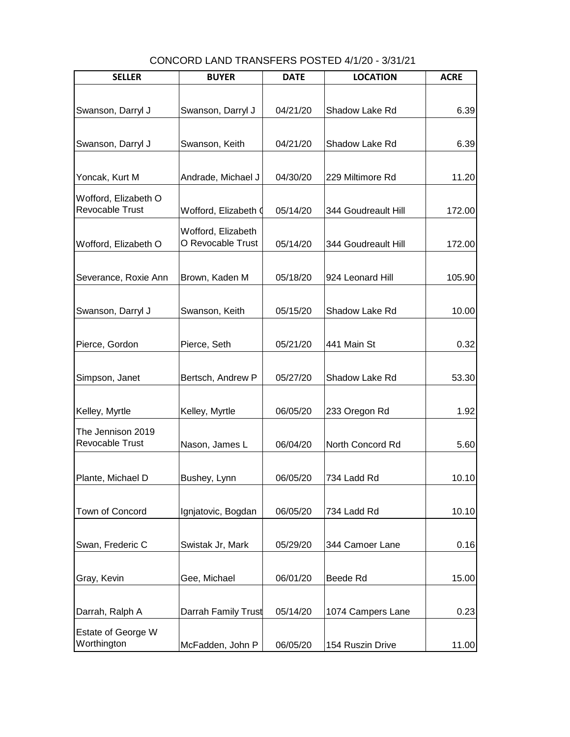| <b>SELLER</b>                           | <b>BUYER</b>                            | <b>DATE</b> | <b>LOCATION</b>     | <b>ACRE</b> |
|-----------------------------------------|-----------------------------------------|-------------|---------------------|-------------|
|                                         |                                         |             |                     |             |
| Swanson, Darryl J                       | Swanson, Darryl J                       | 04/21/20    | Shadow Lake Rd      | 6.39        |
|                                         |                                         |             |                     |             |
| Swanson, Darryl J                       | Swanson, Keith                          | 04/21/20    | Shadow Lake Rd      | 6.39        |
| Yoncak, Kurt M                          | Andrade, Michael J                      | 04/30/20    | 229 Miltimore Rd    | 11.20       |
| Wofford, Elizabeth O<br>Revocable Trust | Wofford, Elizabeth (                    | 05/14/20    | 344 Goudreault Hill | 172.00      |
| Wofford, Elizabeth O                    | Wofford, Elizabeth<br>O Revocable Trust | 05/14/20    | 344 Goudreault Hill | 172.00      |
| Severance, Roxie Ann                    | Brown, Kaden M                          | 05/18/20    | 924 Leonard Hill    | 105.90      |
| Swanson, Darryl J                       | Swanson, Keith                          | 05/15/20    | Shadow Lake Rd      | 10.00       |
| Pierce, Gordon                          | Pierce, Seth                            | 05/21/20    | 441 Main St         | 0.32        |
| Simpson, Janet                          | Bertsch, Andrew P                       | 05/27/20    | Shadow Lake Rd      | 53.30       |
| Kelley, Myrtle                          | Kelley, Myrtle                          | 06/05/20    | 233 Oregon Rd       | 1.92        |
| The Jennison 2019<br>Revocable Trust    | Nason, James L                          | 06/04/20    | North Concord Rd    | 5.60        |
| Plante, Michael D                       | Bushey, Lynn                            | 06/05/20    | 734 Ladd Rd         | 10.10       |
| Town of Concord                         | Ignjatovic, Bogdan                      | 06/05/20    | 734 Ladd Rd         | 10.10       |
| Swan, Frederic C                        | Swistak Jr, Mark                        | 05/29/20    | 344 Camoer Lane     | 0.16        |
| Gray, Kevin                             | Gee, Michael                            | 06/01/20    | Beede Rd            | 15.00       |
| Darrah, Ralph A                         | Darrah Family Trust                     | 05/14/20    | 1074 Campers Lane   | 0.23        |
| Estate of George W<br>Worthington       | McFadden, John P                        | 06/05/20    | 154 Ruszin Drive    | 11.00       |

CONCORD LAND TRANSFERS POSTED 4/1/20 - 3/31/21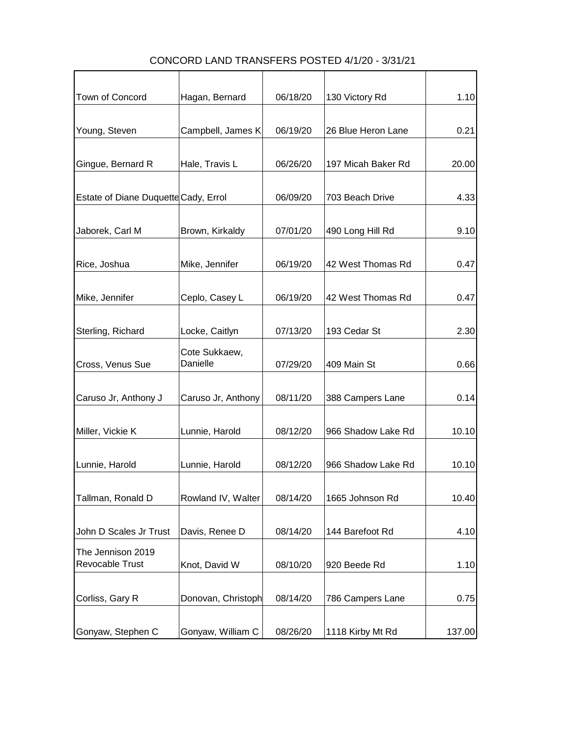| Town of Concord                      | Hagan, Bernard     | 06/18/20 | 130 Victory Rd     | 1.10   |
|--------------------------------------|--------------------|----------|--------------------|--------|
|                                      |                    |          |                    |        |
| Young, Steven                        | Campbell, James K  | 06/19/20 | 26 Blue Heron Lane | 0.21   |
|                                      |                    |          |                    |        |
|                                      |                    |          |                    |        |
| Gingue, Bernard R                    | Hale, Travis L     | 06/26/20 | 197 Micah Baker Rd | 20.00  |
|                                      |                    |          |                    |        |
| Estate of Diane Duquette Cady, Errol |                    | 06/09/20 | 703 Beach Drive    | 4.33   |
|                                      |                    |          |                    |        |
| Jaborek, Carl M                      | Brown, Kirkaldy    | 07/01/20 | 490 Long Hill Rd   | 9.10   |
|                                      |                    |          |                    |        |
| Rice, Joshua                         | Mike, Jennifer     | 06/19/20 | 42 West Thomas Rd  | 0.47   |
|                                      |                    |          |                    |        |
|                                      |                    |          |                    |        |
| Mike, Jennifer                       | Ceplo, Casey L     | 06/19/20 | 42 West Thomas Rd  | 0.47   |
|                                      |                    |          |                    |        |
| Sterling, Richard                    | Locke, Caitlyn     | 07/13/20 | 193 Cedar St       | 2.30   |
|                                      | Cote Sukkaew,      |          |                    |        |
| Cross, Venus Sue                     | Danielle           | 07/29/20 | 409 Main St        | 0.66   |
|                                      |                    |          |                    |        |
|                                      |                    |          |                    |        |
| Caruso Jr, Anthony J                 | Caruso Jr, Anthony | 08/11/20 | 388 Campers Lane   | 0.14   |
|                                      |                    |          |                    |        |
| Miller, Vickie K                     | Lunnie, Harold     | 08/12/20 | 966 Shadow Lake Rd | 10.10  |
|                                      |                    |          |                    |        |
| Lunnie, Harold                       | Lunnie, Harold     | 08/12/20 | 966 Shadow Lake Rd | 10.10  |
|                                      |                    |          |                    |        |
| Tallman, Ronald D                    | Rowland IV, Walter | 08/14/20 | 1665 Johnson Rd    | 10.40  |
|                                      |                    |          |                    |        |
|                                      |                    |          |                    |        |
| John D Scales Jr Trust               | Davis, Renee D     | 08/14/20 | 144 Barefoot Rd    | 4.10   |
| The Jennison 2019                    |                    |          |                    |        |
| Revocable Trust                      | Knot, David W      | 08/10/20 | 920 Beede Rd       | 1.10   |
|                                      |                    |          |                    |        |
| Corliss, Gary R                      | Donovan, Christoph | 08/14/20 | 786 Campers Lane   | 0.75   |
|                                      |                    |          |                    |        |
|                                      |                    |          |                    |        |
| Gonyaw, Stephen C                    | Gonyaw, William C  | 08/26/20 | 1118 Kirby Mt Rd   | 137.00 |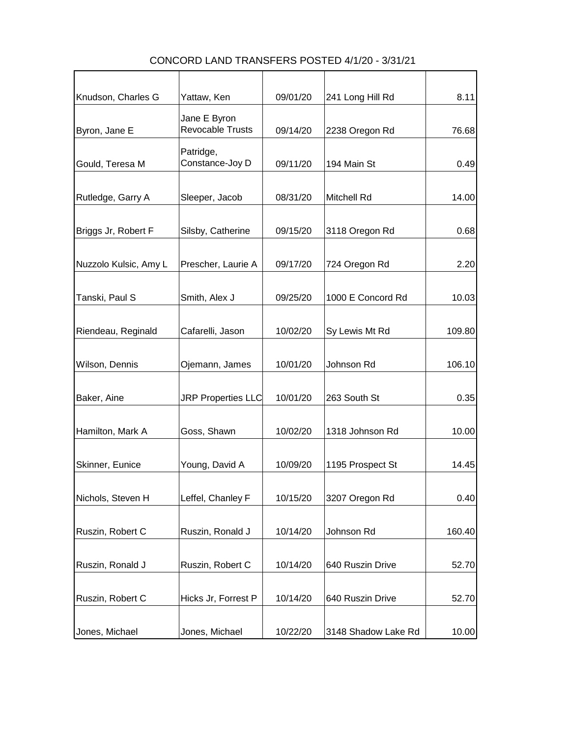| Knudson, Charles G    | Yattaw, Ken                             | 09/01/20 | 241 Long Hill Rd    | 8.11   |
|-----------------------|-----------------------------------------|----------|---------------------|--------|
| Byron, Jane E         | Jane E Byron<br><b>Revocable Trusts</b> | 09/14/20 | 2238 Oregon Rd      | 76.68  |
| Gould, Teresa M       | Patridge,<br>Constance-Joy D            | 09/11/20 | 194 Main St         | 0.49   |
| Rutledge, Garry A     | Sleeper, Jacob                          | 08/31/20 | <b>Mitchell Rd</b>  | 14.00  |
| Briggs Jr, Robert F   | Silsby, Catherine                       | 09/15/20 | 3118 Oregon Rd      | 0.68   |
| Nuzzolo Kulsic, Amy L | Prescher, Laurie A                      | 09/17/20 | 724 Oregon Rd       | 2.20   |
| Tanski, Paul S        | Smith, Alex J                           | 09/25/20 | 1000 E Concord Rd   | 10.03  |
| Riendeau, Reginald    | Cafarelli, Jason                        | 10/02/20 | Sy Lewis Mt Rd      | 109.80 |
| Wilson, Dennis        | Ojemann, James                          | 10/01/20 | Johnson Rd          | 106.10 |
| Baker, Aine           | <b>JRP Properties LLC</b>               | 10/01/20 | 263 South St        | 0.35   |
| Hamilton, Mark A      | Goss, Shawn                             | 10/02/20 | 1318 Johnson Rd     | 10.00  |
| Skinner, Eunice       | Young, David A                          | 10/09/20 | 1195 Prospect St    | 14.45  |
| Nichols, Steven H     | Leffel, Chanley F                       | 10/15/20 | 3207 Oregon Rd      | 0.40   |
| Ruszin, Robert C      | Ruszin, Ronald J                        | 10/14/20 | Johnson Rd          | 160.40 |
| Ruszin, Ronald J      | Ruszin, Robert C                        | 10/14/20 | 640 Ruszin Drive    | 52.70  |
| Ruszin, Robert C      | Hicks Jr, Forrest P                     | 10/14/20 | 640 Ruszin Drive    | 52.70  |
| Jones, Michael        | Jones, Michael                          | 10/22/20 | 3148 Shadow Lake Rd | 10.00  |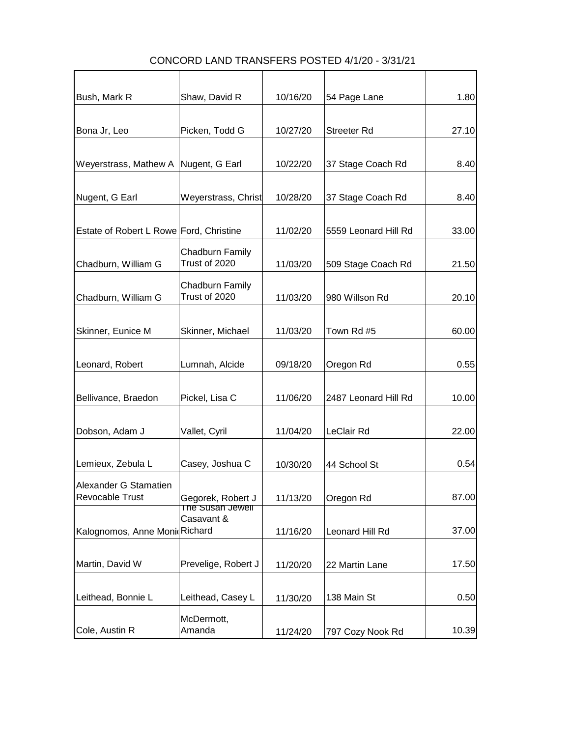| Bush, Mark R                                    | Shaw, David R                         | 10/16/20 | 54 Page Lane         | 1.80  |
|-------------------------------------------------|---------------------------------------|----------|----------------------|-------|
|                                                 |                                       |          |                      |       |
| Bona Jr, Leo                                    | Picken, Todd G                        | 10/27/20 | <b>Streeter Rd</b>   | 27.10 |
|                                                 |                                       |          |                      |       |
| Weyerstrass, Mathew A                           | Nugent, G Earl                        | 10/22/20 | 37 Stage Coach Rd    | 8.40  |
| Nugent, G Earl                                  | Weyerstrass, Christ                   | 10/28/20 | 37 Stage Coach Rd    | 8.40  |
| Estate of Robert L Rowe Ford, Christine         |                                       | 11/02/20 | 5559 Leonard Hill Rd | 33.00 |
| Chadburn, William G                             | Chadburn Family<br>Trust of 2020      | 11/03/20 | 509 Stage Coach Rd   | 21.50 |
| Chadburn, William G                             | Chadburn Family<br>Trust of 2020      | 11/03/20 | 980 Willson Rd       | 20.10 |
| Skinner, Eunice M                               | Skinner, Michael                      | 11/03/20 | Town Rd #5           | 60.00 |
| Leonard, Robert                                 | Lumnah, Alcide                        | 09/18/20 | Oregon Rd            | 0.55  |
|                                                 |                                       |          |                      |       |
| Bellivance, Braedon                             | Pickel, Lisa C                        | 11/06/20 | 2487 Leonard Hill Rd | 10.00 |
| Dobson, Adam J                                  | Vallet, Cyril                         | 11/04/20 | LeClair Rd           | 22.00 |
| Lemieux, Zebula L                               | Casey, Joshua C                       | 10/30/20 | 44 School St         | 0.54  |
| Alexander G Stamatien<br><b>Revocable Trust</b> | Gegorek, Robert J<br>The Susan Jewell | 11/13/20 | Oregon Rd            | 87.00 |
| Kalognomos, Anne Monid Richard                  | Casavant &                            | 11/16/20 | Leonard Hill Rd      | 37.00 |
| Martin, David W                                 | Prevelige, Robert J                   | 11/20/20 | 22 Martin Lane       | 17.50 |
| Leithead, Bonnie L                              | Leithead, Casey L                     | 11/30/20 | 138 Main St          | 0.50  |
| Cole, Austin R                                  | McDermott,<br>Amanda                  | 11/24/20 | 797 Cozy Nook Rd     | 10.39 |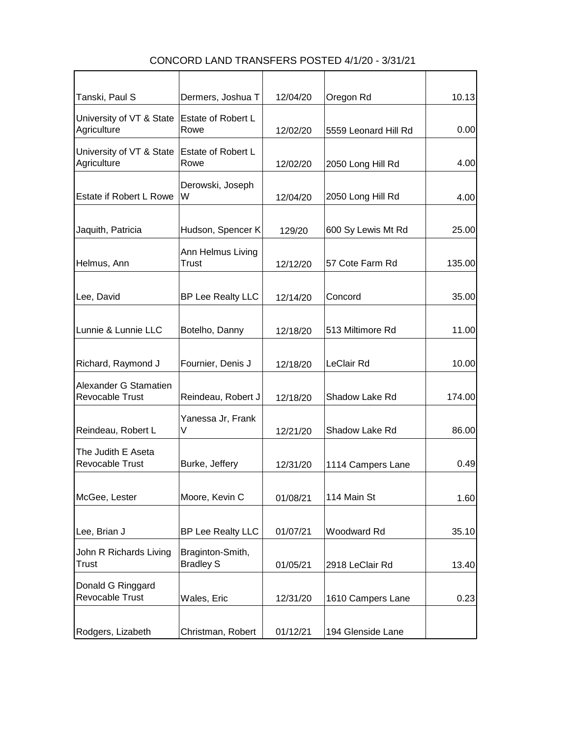| Tanski, Paul S                                  | Dermers, Joshua T                    | 12/04/20 | Oregon Rd            | 10.13  |
|-------------------------------------------------|--------------------------------------|----------|----------------------|--------|
| University of VT & State<br>Agriculture         | Estate of Robert L<br>Rowe           | 12/02/20 | 5559 Leonard Hill Rd | 0.00   |
| University of VT & State<br>Agriculture         | Estate of Robert L<br>Rowe           | 12/02/20 | 2050 Long Hill Rd    | 4.00   |
| Estate if Robert L Rowe                         | Derowski, Joseph<br>W                | 12/04/20 | 2050 Long Hill Rd    | 4.00   |
| Jaquith, Patricia                               | Hudson, Spencer K                    | 129/20   | 600 Sy Lewis Mt Rd   | 25.00  |
| Helmus, Ann                                     | Ann Helmus Living<br>Trust           | 12/12/20 | 57 Cote Farm Rd      | 135.00 |
| Lee, David                                      | <b>BP Lee Realty LLC</b>             | 12/14/20 | Concord              | 35.00  |
| Lunnie & Lunnie LLC                             | Botelho, Danny                       | 12/18/20 | 513 Miltimore Rd     | 11.00  |
| Richard, Raymond J                              | Fournier, Denis J                    | 12/18/20 | LeClair Rd           | 10.00  |
| Alexander G Stamatien<br><b>Revocable Trust</b> | Reindeau, Robert J                   | 12/18/20 | Shadow Lake Rd       | 174.00 |
| Reindeau, Robert L                              | Yanessa Jr, Frank<br>V               | 12/21/20 | Shadow Lake Rd       | 86.00  |
| The Judith E Aseta<br>Revocable Trust           | Burke, Jeffery                       | 12/31/20 | 1114 Campers Lane    | 0.49   |
| McGee, Lester                                   | Moore, Kevin C                       | 01/08/21 | 114 Main St          | 1.60   |
| Lee, Brian J                                    | <b>BP Lee Realty LLC</b>             | 01/07/21 | Woodward Rd          | 35.10  |
| John R Richards Living<br>Trust                 | Braginton-Smith,<br><b>Bradley S</b> | 01/05/21 | 2918 LeClair Rd      | 13.40  |
| Donald G Ringgard<br>Revocable Trust            | Wales, Eric                          | 12/31/20 | 1610 Campers Lane    | 0.23   |
| Rodgers, Lizabeth                               | Christman, Robert                    | 01/12/21 | 194 Glenside Lane    |        |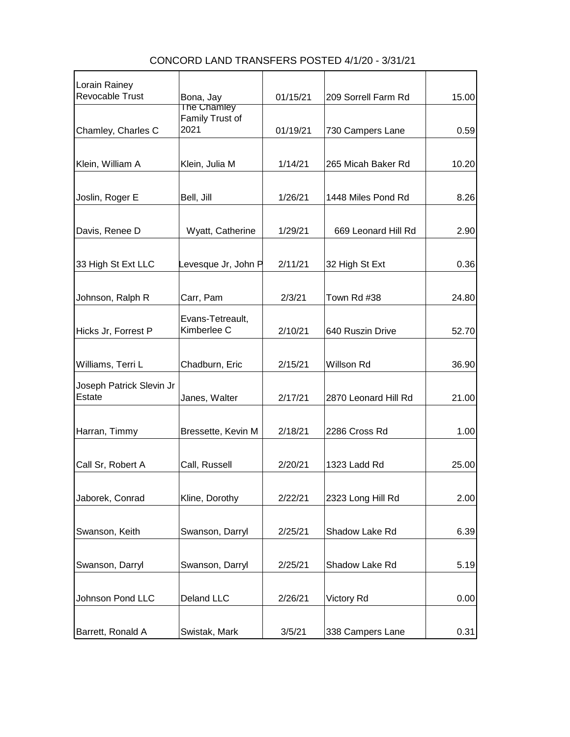| Lorain Rainey            |                                |          |                      |       |
|--------------------------|--------------------------------|----------|----------------------|-------|
| Revocable Trust          | Bona, Jay                      | 01/15/21 | 209 Sorrell Farm Rd  | 15.00 |
|                          | The Chamley<br>Family Trust of |          |                      |       |
| Chamley, Charles C       | 2021                           | 01/19/21 | 730 Campers Lane     | 0.59  |
|                          |                                |          |                      |       |
|                          |                                |          |                      |       |
| Klein, William A         | Klein, Julia M                 | 1/14/21  | 265 Micah Baker Rd   | 10.20 |
|                          |                                |          |                      |       |
| Joslin, Roger E          | Bell, Jill                     | 1/26/21  | 1448 Miles Pond Rd   | 8.26  |
|                          |                                |          |                      |       |
| Davis, Renee D           | Wyatt, Catherine               | 1/29/21  | 669 Leonard Hill Rd  | 2.90  |
|                          |                                |          |                      |       |
| 33 High St Ext LLC       | Levesque Jr, John P            | 2/11/21  | 32 High St Ext       | 0.36  |
|                          |                                |          |                      |       |
|                          |                                |          |                      |       |
| Johnson, Ralph R         | Carr, Pam                      | 2/3/21   | Town Rd #38          | 24.80 |
|                          | Evans-Tetreault,               |          |                      |       |
| Hicks Jr, Forrest P      | Kimberlee C                    | 2/10/21  | 640 Ruszin Drive     | 52.70 |
|                          |                                |          |                      |       |
| Williams, Terri L        | Chadburn, Eric                 | 2/15/21  | Willson Rd           | 36.90 |
| Joseph Patrick Slevin Jr |                                |          |                      |       |
| Estate                   | Janes, Walter                  | 2/17/21  | 2870 Leonard Hill Rd | 21.00 |
|                          |                                |          |                      |       |
|                          |                                | 2/18/21  | 2286 Cross Rd        |       |
| Harran, Timmy            | Bressette, Kevin M             |          |                      | 1.00  |
|                          |                                |          |                      |       |
| Call Sr, Robert A        | Call, Russell                  | 2/20/21  | 1323 Ladd Rd         | 25.00 |
|                          |                                |          |                      |       |
| Jaborek, Conrad          | Kline, Dorothy                 | 2/22/21  | 2323 Long Hill Rd    | 2.00  |
|                          |                                |          |                      |       |
| Swanson, Keith           | Swanson, Darryl                | 2/25/21  | Shadow Lake Rd       | 6.39  |
|                          |                                |          |                      |       |
| Swanson, Darryl          | Swanson, Darryl                | 2/25/21  | Shadow Lake Rd       | 5.19  |
|                          |                                |          |                      |       |
|                          |                                |          |                      |       |
| Johnson Pond LLC         | Deland LLC                     | 2/26/21  | <b>Victory Rd</b>    | 0.00  |
|                          |                                |          |                      |       |
| Barrett, Ronald A        | Swistak, Mark                  | 3/5/21   | 338 Campers Lane     | 0.31  |